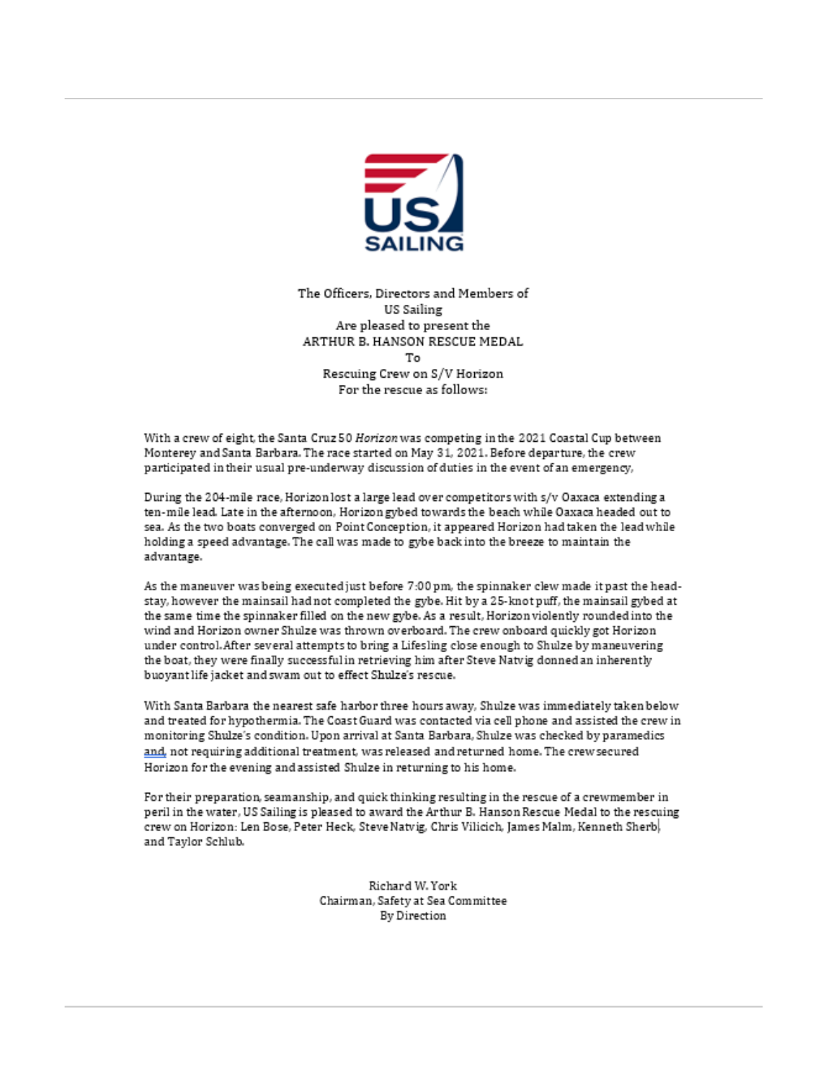

The Officers, Directors and Members of US Sailing Are pleased to present the ARTHUR B. HANSON RESCUE MEDAL To. Rescuing Crew on S/V Horizon For the rescue as follows:

With a crew of eight, the Santa Cruz 50 Horizon was competing in the 2021 Coastal Cup between Monterey and Santa Barbara. The race started on May 31, 2021. Before departure, the crew participated in their usual pre-underway discussion of duties in the event of an emergency,

During the 204-mile race, Horizon lost a large lead over competitors with s/v Oaxaca extending a ten-mile lead. Late in the afternoon, Horizon gybed towards the beach while Oaxaca headed out to sea. As the two boats converged on Point Conception, it appeared Horizon had taken the lead while holding a speed advantage. The call was made to gybe back into the breeze to maintain the advantage.

-As the maneuver was being executed just before 7:00 pm, the spinnaker clew made it past the head stay, however the mainsail had not completed the gybe. Hit by a 25-knot puff, the mainsail gybed at the same time the spinnaker filled on the new gybe. As a result, Horizon violently rounded into the wind and Horizon owner Shulze was thrown overboard. The crew onboard quickly got Horizon under control. After several attempts to bring a Lifesling close enough to Shulze by maneuvering the boat, they were finally successful in retrieving him after Steve Natvig donned an inherently buoyant life jacket and swam out to effect Shulze's rescue.

With Santa Barbara the nearest safe harbor three hours away, Shulze was immediately taken below and treated for hypothermia. The Coast Guard was contacted via cell phone and assisted the crew in monitoring Shulze's condition. Upon arrival at Santa Barbara, Shulze was checked by paramedics and, not requiring additional treatment, was released and returned home. The crew secured Horizon for the evening and assisted Shulze in returning to his home.

For their preparation, seamanship, and quick thinking resulting in the rescue of a crewmember in peril in the water, US Sailing is pleased to award the Arthur B. Hanson Rescue Medal to the rescuing crew on Horizon: Len Bose, Peter Heck, Steve Natvig, Chris Vilicich, James Malm, Kenneth Sherb| and Taylor Schlub.

> Richard W. York Chairman, Safety at Sea Committee By Direction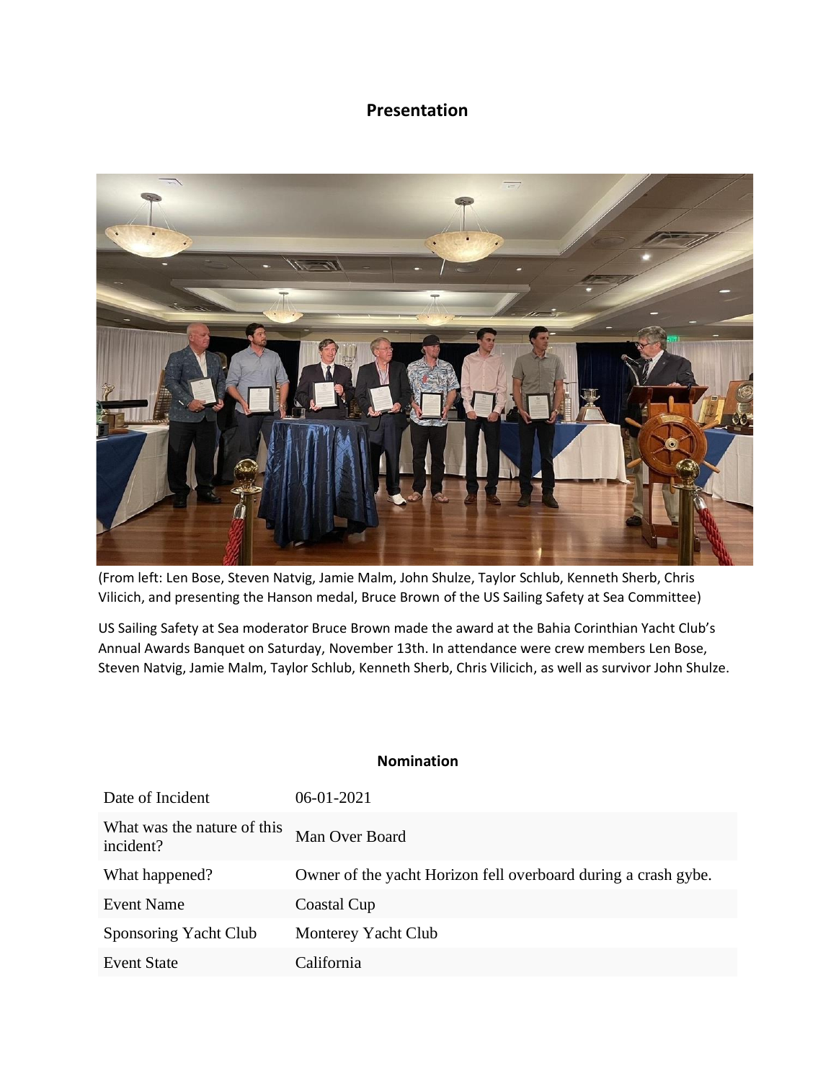## **Presentation**



(From left: Len Bose, Steven Natvig, Jamie Malm, John Shulze, Taylor Schlub, Kenneth Sherb, Chris Vilicich, and presenting the Hanson medal, Bruce Brown of the US Sailing Safety at Sea Committee)

US Sailing Safety at Sea moderator Bruce Brown made the award at the Bahia Corinthian Yacht Club's Annual Awards Banquet on Saturday, November 13th. In attendance were crew members Len Bose, Steven Natvig, Jamie Malm, Taylor Schlub, Kenneth Sherb, Chris Vilicich, as well as survivor John Shulze.

## **Nomination**

| Date of Incident                         | 06-01-2021                                                     |
|------------------------------------------|----------------------------------------------------------------|
| What was the nature of this<br>incident? | Man Over Board                                                 |
| What happened?                           | Owner of the yacht Horizon fell overboard during a crash gybe. |
| Event Name                               | Coastal Cup                                                    |
| Sponsoring Yacht Club                    | Monterey Yacht Club                                            |
| <b>Event State</b>                       | California                                                     |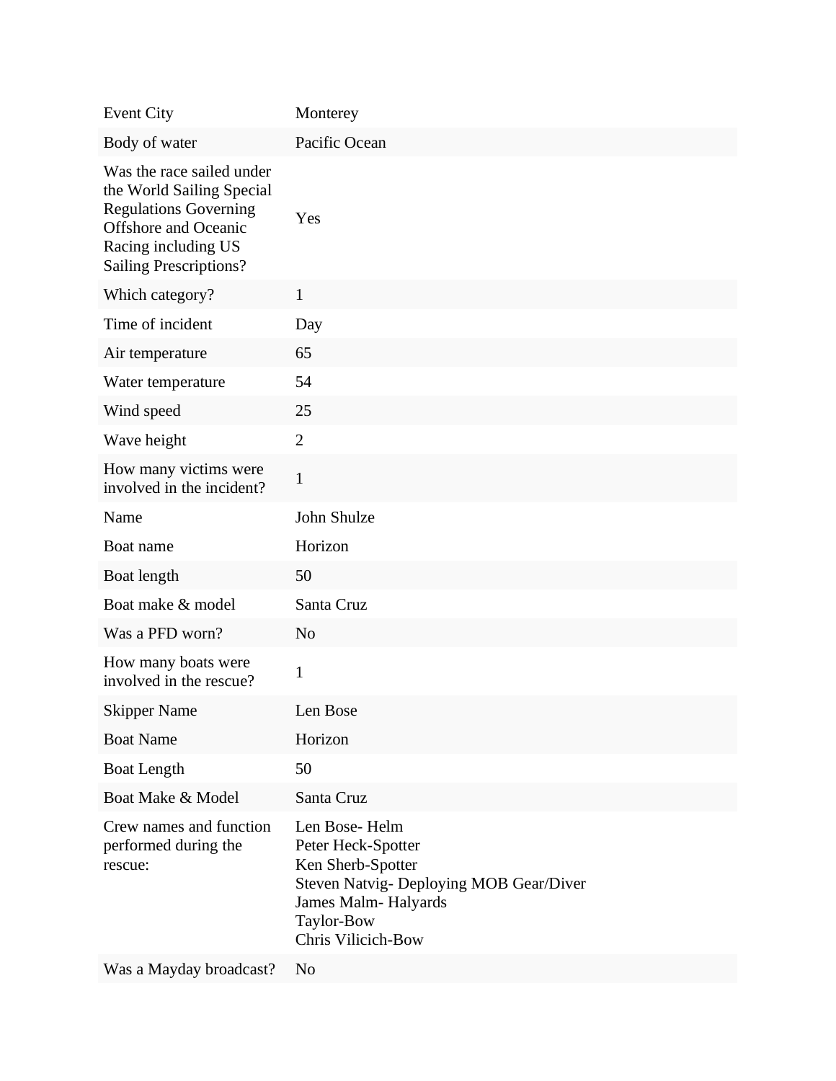| <b>Event City</b>                                                                                                                                                             | Monterey                                                                                                                                                       |
|-------------------------------------------------------------------------------------------------------------------------------------------------------------------------------|----------------------------------------------------------------------------------------------------------------------------------------------------------------|
| Body of water                                                                                                                                                                 | Pacific Ocean                                                                                                                                                  |
| Was the race sailed under<br>the World Sailing Special<br><b>Regulations Governing</b><br><b>Offshore</b> and Oceanic<br>Racing including US<br><b>Sailing Prescriptions?</b> | Yes                                                                                                                                                            |
| Which category?                                                                                                                                                               | $\mathbf{1}$                                                                                                                                                   |
| Time of incident                                                                                                                                                              | Day                                                                                                                                                            |
| Air temperature                                                                                                                                                               | 65                                                                                                                                                             |
| Water temperature                                                                                                                                                             | 54                                                                                                                                                             |
| Wind speed                                                                                                                                                                    | 25                                                                                                                                                             |
| Wave height                                                                                                                                                                   | $\overline{2}$                                                                                                                                                 |
| How many victims were<br>involved in the incident?                                                                                                                            | $\mathbf{1}$                                                                                                                                                   |
| Name                                                                                                                                                                          | John Shulze                                                                                                                                                    |
| Boat name                                                                                                                                                                     | Horizon                                                                                                                                                        |
| Boat length                                                                                                                                                                   | 50                                                                                                                                                             |
| Boat make & model                                                                                                                                                             | Santa Cruz                                                                                                                                                     |
| Was a PFD worn?                                                                                                                                                               | N <sub>o</sub>                                                                                                                                                 |
| How many boats were<br>involved in the rescue?                                                                                                                                | 1                                                                                                                                                              |
| <b>Skipper Name</b>                                                                                                                                                           | Len Bose                                                                                                                                                       |
| <b>Boat Name</b>                                                                                                                                                              | Horizon                                                                                                                                                        |
| <b>Boat Length</b>                                                                                                                                                            | 50                                                                                                                                                             |
| Boat Make & Model                                                                                                                                                             | Santa Cruz                                                                                                                                                     |
| Crew names and function<br>performed during the<br>rescue:                                                                                                                    | Len Bose-Helm<br>Peter Heck-Spotter<br>Ken Sherb-Spotter<br>Steven Natvig- Deploying MOB Gear/Diver<br>James Malm-Halyards<br>Taylor-Bow<br>Chris Vilicich-Bow |
| Was a Mayday broadcast?                                                                                                                                                       | N <sub>o</sub>                                                                                                                                                 |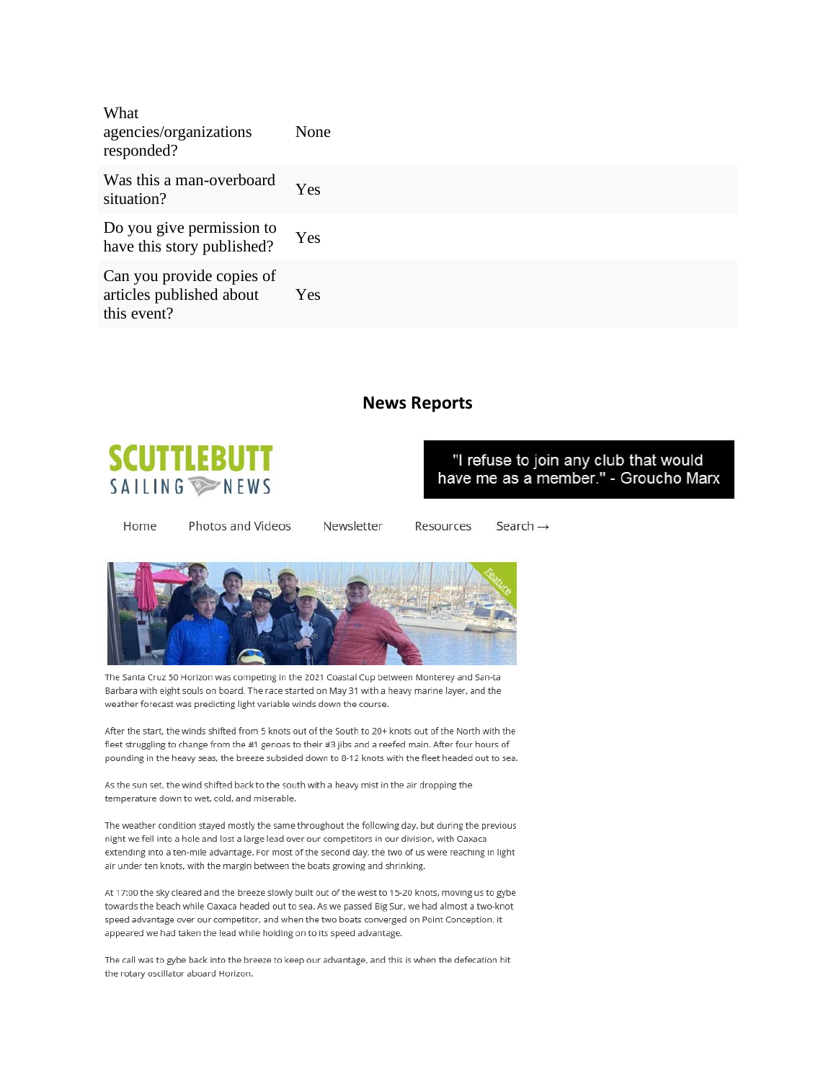| What<br>agencies/organizations<br>responded?                         | None |
|----------------------------------------------------------------------|------|
| Was this a man-overboard<br>situation?                               | Yes  |
| Do you give permission to<br>have this story published?              | Yes  |
| Can you provide copies of<br>articles published about<br>this event? | Yes  |

## **News Reports**



"I refuse to join any club that would have me as a member." - Groucho Marx

Home Photos and Videos Newsletter

Resources Search  $\rightarrow$ 



The Santa Cruz 50 Horizon was competing in the 2021 Coastal Cup between Monterey and San-ta Barbara with eight souls on board. The race started on May 31 with a heavy marine layer, and the weather forecast was predicting light variable winds down the course.

After the start, the winds shifted from 5 knots out of the South to 20+ knots out of the North with the fleet struggling to change from the #1 genoas to their #3 jibs and a reefed main. After four hours of pounding in the heavy seas, the breeze subsided down to 8-12 knots with the fleet headed out to sea.

As the sun set, the wind shifted back to the south with a heavy mist in the air dropping the temperature down to wet, cold, and miserable.

The weather condition stayed mostly the same throughout the following day, but during the previous night we fell into a hole and lost a large lead over our competitors in our division, with Oaxaca extending into a ten-mile advantage. For most of the second day, the two of us were reaching in light air under ten knots, with the margin between the boats growing and shrinking.

At 17:00 the sky cleared and the breeze slowly built out of the west to 15-20 knots, moving us to gybe towards the beach while Oaxaca headed out to sea. As we passed Big Sur, we had almost a two-knot speed advantage over our competitor, and when the two boats converged on Point Conception, it appeared we had taken the lead while holding on to its speed advantage.

The call was to gybe back into the breeze to keep our advantage, and this is when the defecation hit the rotary oscillator aboard Horizon.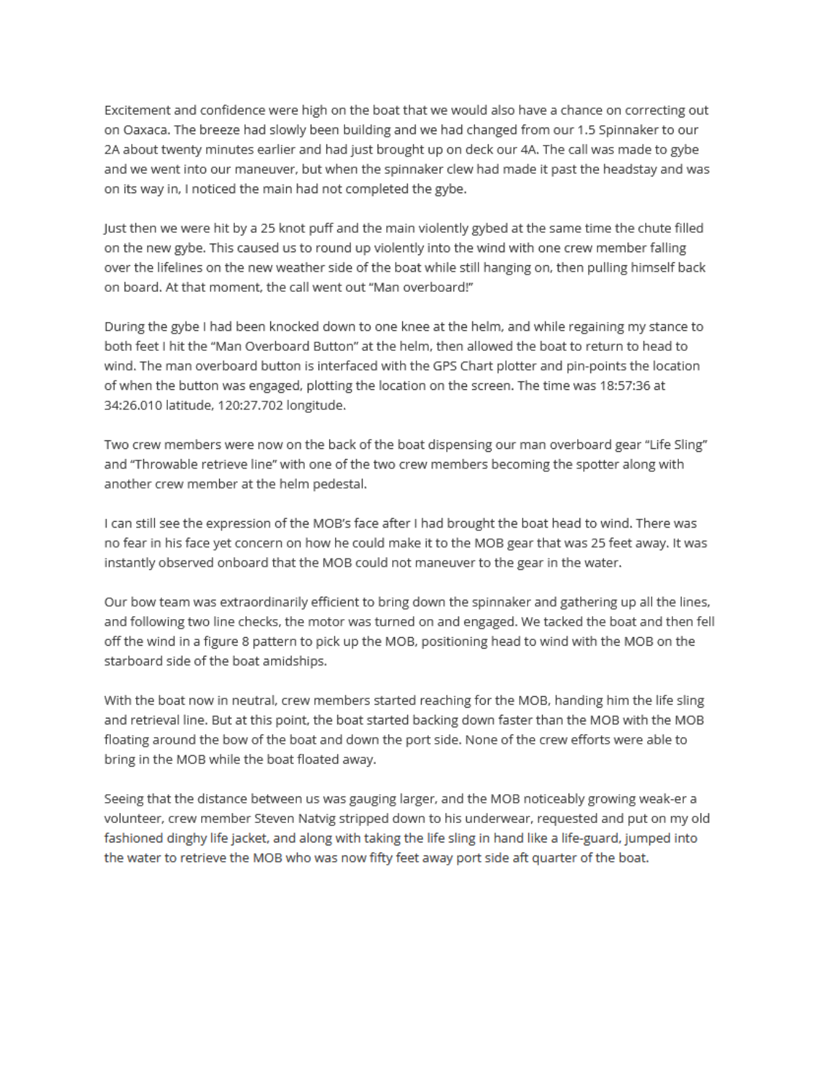Excitement and confidence were high on the boat that we would also have a chance on correcting out on Oaxaca. The breeze had slowly been building and we had changed from our 1.5 Spinnaker to our 2A about twenty minutes earlier and had just brought up on deck our 4A. The call was made to gybe and we went into our maneuver, but when the spinnaker clew had made it past the headstay and was on its way in, I noticed the main had not completed the gybe.

Just then we were hit by a 25 knot puff and the main violently gybed at the same time the chute filled on the new gybe. This caused us to round up violently into the wind with one crew member falling over the lifelines on the new weather side of the boat while still hanging on, then pulling himself back on board. At that moment, the call went out "Man overboard!"

During the gybe I had been knocked down to one knee at the helm, and while regaining my stance to both feet I hit the "Man Overboard Button" at the helm, then allowed the boat to return to head to wind. The man overboard button is interfaced with the GPS Chart plotter and pin-points the location of when the button was engaged, plotting the location on the screen. The time was 18:57:36 at 34:26.010 latitude, 120:27.702 longitude.

Two crew members were now on the back of the boat dispensing our man overboard gear "Life Sling" and "Throwable retrieve line" with one of the two crew members becoming the spotter along with another crew member at the helm pedestal.

I can still see the expression of the MOB's face after I had brought the boat head to wind. There was no fear in his face yet concern on how he could make it to the MOB gear that was 25 feet away. It was instantly observed onboard that the MOB could not maneuver to the gear in the water.

Our bow team was extraordinarily efficient to bring down the spinnaker and gathering up all the lines, and following two line checks, the motor was turned on and engaged. We tacked the boat and then fell off the wind in a figure 8 pattern to pick up the MOB, positioning head to wind with the MOB on the starboard side of the boat amidships.

With the boat now in neutral, crew members started reaching for the MOB, handing him the life sling and retrieval line. But at this point, the boat started backing down faster than the MOB with the MOB floating around the bow of the boat and down the port side. None of the crew efforts were able to bring in the MOB while the boat floated away.

Seeing that the distance between us was gauging larger, and the MOB noticeably growing weak-er a volunteer, crew member Steven Natvig stripped down to his underwear, requested and put on my old fashioned dinghy life jacket, and along with taking the life sling in hand like a life-guard, jumped into the water to retrieve the MOB who was now fifty feet away port side aft quarter of the boat.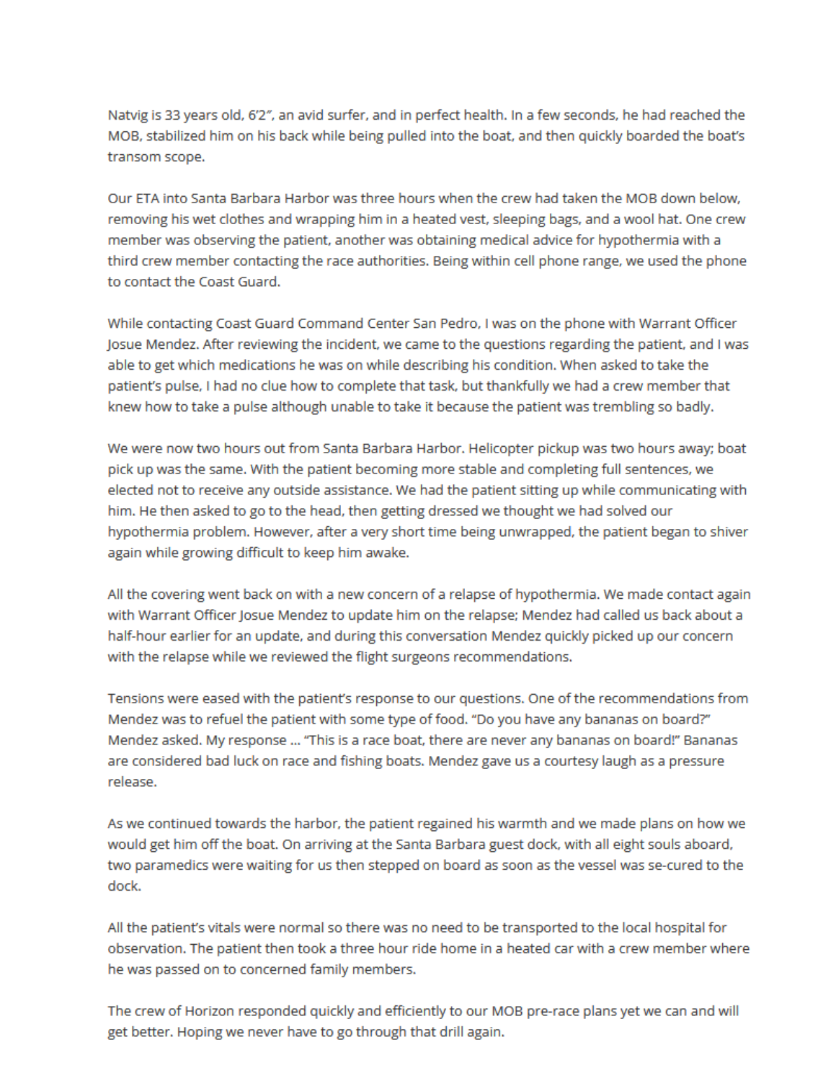Natvig is 33 years old, 6'2", an avid surfer, and in perfect health. In a few seconds, he had reached the MOB, stabilized him on his back while being pulled into the boat, and then quickly boarded the boat's transom scope.

Our ETA into Santa Barbara Harbor was three hours when the crew had taken the MOB down below, removing his wet clothes and wrapping him in a heated vest, sleeping bags, and a wool hat. One crew member was observing the patient, another was obtaining medical advice for hypothermia with a third crew member contacting the race authorities. Being within cell phone range, we used the phone to contact the Coast Guard.

While contacting Coast Guard Command Center San Pedro, I was on the phone with Warrant Officer Josue Mendez. After reviewing the incident, we came to the questions regarding the patient, and I was able to get which medications he was on while describing his condition. When asked to take the patient's pulse, I had no clue how to complete that task, but thankfully we had a crew member that knew how to take a pulse although unable to take it because the patient was trembling so badly.

We were now two hours out from Santa Barbara Harbor. Helicopter pickup was two hours away; boat pick up was the same. With the patient becoming more stable and completing full sentences, we elected not to receive any outside assistance. We had the patient sitting up while communicating with him. He then asked to go to the head, then getting dressed we thought we had solved our hypothermia problem. However, after a very short time being unwrapped, the patient began to shiver again while growing difficult to keep him awake.

All the covering went back on with a new concern of a relapse of hypothermia. We made contact again with Warrant Officer Josue Mendez to update him on the relapse; Mendez had called us back about a half-hour earlier for an update, and during this conversation Mendez quickly picked up our concern with the relapse while we reviewed the flight surgeons recommendations.

Tensions were eased with the patient's response to our questions. One of the recommendations from Mendez was to refuel the patient with some type of food. "Do you have any bananas on board?" Mendez asked. My response ... "This is a race boat, there are never any bananas on board!" Bananas are considered bad luck on race and fishing boats. Mendez gave us a courtesy laugh as a pressure release.

As we continued towards the harbor, the patient regained his warmth and we made plans on how we would get him off the boat. On arriving at the Santa Barbara guest dock, with all eight souls aboard, two paramedics were waiting for us then stepped on board as soon as the vessel was se-cured to the dock.

All the patient's vitals were normal so there was no need to be transported to the local hospital for observation. The patient then took a three hour ride home in a heated car with a crew member where he was passed on to concerned family members.

The crew of Horizon responded quickly and efficiently to our MOB pre-race plans yet we can and will get better. Hoping we never have to go through that drill again.